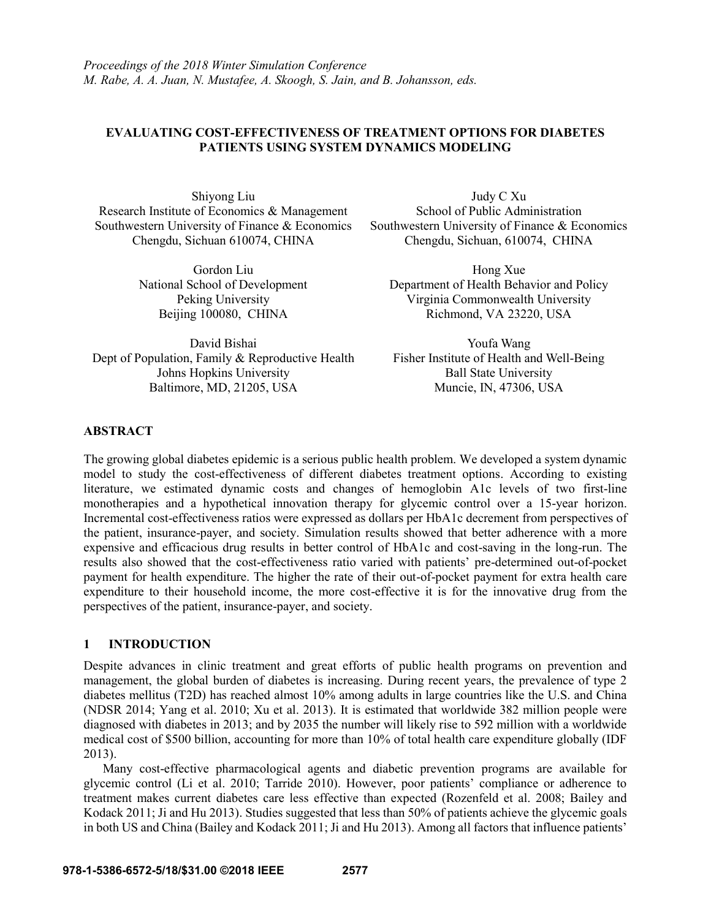## **EVALUATING COST-EFFECTIVENESS OF TREATMENT OPTIONS FOR DIABETES PATIENTS USING SYSTEM DYNAMICS MODELING**

Shiyong Liu Research Institute of Economics & Management Southwestern University of Finance & Economics Chengdu, Sichuan 610074, CHINA

> Gordon Liu National School of Development Peking University Beijing 100080, CHINA

David Bishai Dept of Population, Family & Reproductive Health Johns Hopkins University Baltimore, MD, 21205, USA

Judy C Xu School of Public Administration Southwestern University of Finance & Economics Chengdu, Sichuan, 610074, CHINA

Hong Xue Department of Health Behavior and Policy Virginia Commonwealth University Richmond, VA 23220, USA

Youfa Wang Fisher Institute of Health and Well-Being Ball State University Muncie, IN, 47306, USA

## **ABSTRACT**

The growing global diabetes epidemic is a serious public health problem. We developed a system dynamic model to study the cost-effectiveness of different diabetes treatment options. According to existing literature, we estimated dynamic costs and changes of hemoglobin A1c levels of two first-line monotherapies and a hypothetical innovation therapy for glycemic control over a 15-year horizon. Incremental cost-effectiveness ratios were expressed as dollars per HbA1c decrement from perspectives of the patient, insurance-payer, and society. Simulation results showed that better adherence with a more expensive and efficacious drug results in better control of HbA1c and cost-saving in the long-run. The results also showed that the cost-effectiveness ratio varied with patients' pre-determined out-of-pocket payment for health expenditure. The higher the rate of their out-of-pocket payment for extra health care expenditure to their household income, the more cost-effective it is for the innovative drug from the perspectives of the patient, insurance-payer, and society.

## **1 INTRODUCTION**

Despite advances in clinic treatment and great efforts of public health programs on prevention and management, the global burden of diabetes is increasing. During recent years, the prevalence of type 2 diabetes mellitus (T2D) has reached almost 10% among adults in large countries like the U.S. and China (NDSR 2014; Yang et al. 2010; Xu et al. 2013). It is estimated that worldwide 382 million people were diagnosed with diabetes in 2013; and by 2035 the number will likely rise to 592 million with a worldwide medical cost of \$500 billion, accounting for more than 10% of total health care expenditure globally (IDF 2013).

 Many cost-effective pharmacological agents and diabetic prevention programs are available for glycemic control (Li et al. 2010; Tarride 2010). However, poor patients' compliance or adherence to treatment makes current diabetes care less effective than expected (Rozenfeld et al. 2008; Bailey and Kodack 2011; Ji and Hu 2013). Studies suggested that less than 50% of patients achieve the glycemic goals in both US and China (Bailey and Kodack 2011; Ji and Hu 2013). Among all factors that influence patients'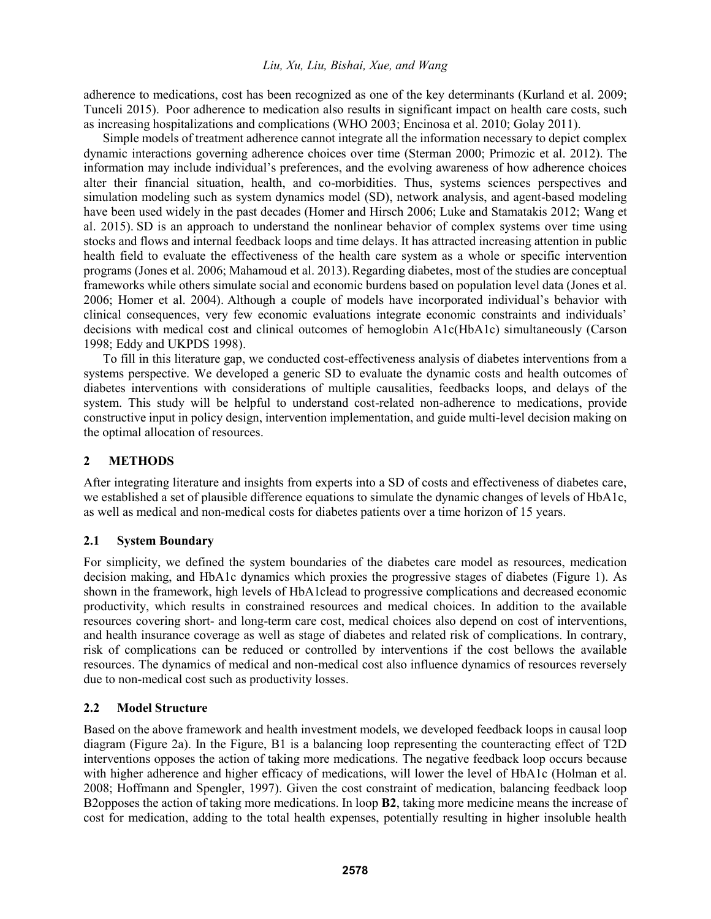adherence to medications, cost has been recognized as one of the key determinants (Kurland et al. 2009; Tunceli 2015). Poor adherence to medication also results in significant impact on health care costs, such as increasing hospitalizations and complications (WHO 2003; Encinosa et al. 2010; Golay 2011).

 Simple models of treatment adherence cannot integrate all the information necessary to depict complex dynamic interactions governing adherence choices over time (Sterman 2000; Primozic et al. 2012). The information may include individual's preferences, and the evolving awareness of how adherence choices alter their financial situation, health, and co-morbidities. Thus, systems sciences perspectives and simulation modeling such as system dynamics model (SD), network analysis, and agent-based modeling have been used widely in the past decades (Homer and Hirsch 2006; Luke and Stamatakis 2012; Wang et al. 2015). SD is an approach to understand the nonlinear behavior of complex systems over time using stocks and flows and internal feedback loops and time delays. It has attracted increasing attention in public health field to evaluate the effectiveness of the health care system as a whole or specific intervention programs (Jones et al. 2006; Mahamoud et al. 2013).Regarding diabetes, most of the studies are conceptual frameworks while others simulate social and economic burdens based on population level data (Jones et al. 2006; Homer et al. 2004). Although a couple of models have incorporated individual's behavior with clinical consequences, very few economic evaluations integrate economic constraints and individuals' decisions with medical cost and clinical outcomes of hemoglobin A1c(HbA1c) simultaneously (Carson 1998; Eddy and UKPDS 1998).

 To fill in this literature gap, we conducted cost-effectiveness analysis of diabetes interventions from a systems perspective. We developed a generic SD to evaluate the dynamic costs and health outcomes of diabetes interventions with considerations of multiple causalities, feedbacks loops, and delays of the system. This study will be helpful to understand cost-related non-adherence to medications, provide constructive input in policy design, intervention implementation, and guide multi-level decision making on the optimal allocation of resources.

# **2 METHODS**

After integrating literature and insights from experts into a SD of costs and effectiveness of diabetes care, we established a set of plausible difference equations to simulate the dynamic changes of levels of HbA1c, as well as medical and non-medical costs for diabetes patients over a time horizon of 15 years.

# **2.1 System Boundary**

For simplicity, we defined the system boundaries of the diabetes care model as resources, medication decision making, and HbA1c dynamics which proxies the progressive stages of diabetes (Figure 1). As shown in the framework, high levels of HbA1clead to progressive complications and decreased economic productivity, which results in constrained resources and medical choices. In addition to the available resources covering short- and long-term care cost, medical choices also depend on cost of interventions, and health insurance coverage as well as stage of diabetes and related risk of complications. In contrary, risk of complications can be reduced or controlled by interventions if the cost bellows the available resources. The dynamics of medical and non-medical cost also influence dynamics of resources reversely due to non-medical cost such as productivity losses.

# **2.2 Model Structure**

Based on the above framework and health investment models, we developed feedback loops in causal loop diagram (Figure 2a). In the Figure, B1 is a balancing loop representing the counteracting effect of T2D interventions opposes the action of taking more medications. The negative feedback loop occurs because with higher adherence and higher efficacy of medications, will lower the level of HbA1c (Holman et al. 2008; Hoffmann and Spengler, 1997). Given the cost constraint of medication, balancing feedback loop B2opposes the action of taking more medications. In loop **B2**, taking more medicine means the increase of cost for medication, adding to the total health expenses, potentially resulting in higher insoluble health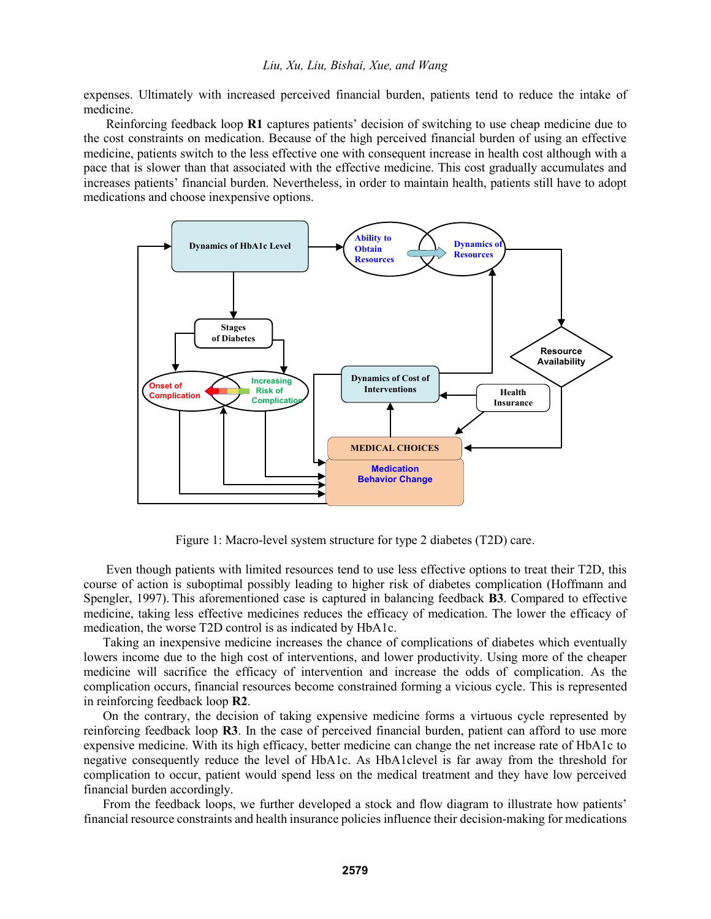expenses. Ultimately with increased perceived financial burden, patients tend to reduce the intake of medicine.

 Reinforcing feedback loop **R1** captures patients' decision of switching to use cheap medicine due to the cost constraints on medication. Because of the high perceived financial burden of using an effective medicine, patients switch to the less effective one with consequent increase in health cost although with a pace that is slower than that associated with the effective medicine. This cost gradually accumulates and increases patients' financial burden. Nevertheless, in order to maintain health, patients still have to adopt medications and choose inexpensive options.



Figure 1: Macro-level system structure for type 2 diabetes (T2D) care.

 Even though patients with limited resources tend to use less effective options to treat their T2D, this course of action is suboptimal possibly leading to higher risk of diabetes complication (Hoffmann and Spengler, 1997). This aforementioned case is captured in balancing feedback **B3**. Compared to effective medicine, taking less effective medicines reduces the efficacy of medication. The lower the efficacy of medication, the worse T2D control is as indicated by HbA1c.

 Taking an inexpensive medicine increases the chance of complications of diabetes which eventually lowers income due to the high cost of interventions, and lower productivity. Using more of the cheaper medicine will sacrifice the efficacy of intervention and increase the odds of complication. As the complication occurs, financial resources become constrained forming a vicious cycle. This is represented in reinforcing feedback loop **R2**.

 On the contrary, the decision of taking expensive medicine forms a virtuous cycle represented by reinforcing feedback loop **R3**. In the case of perceived financial burden, patient can afford to use more expensive medicine. With its high efficacy, better medicine can change the net increase rate of HbA1c to negative consequently reduce the level of HbA1c. As HbA1clevel is far away from the threshold for complication to occur, patient would spend less on the medical treatment and they have low perceived financial burden accordingly.

 From the feedback loops, we further developed a stock and flow diagram to illustrate how patients' financial resource constraints and health insurance policies influence their decision-making for medications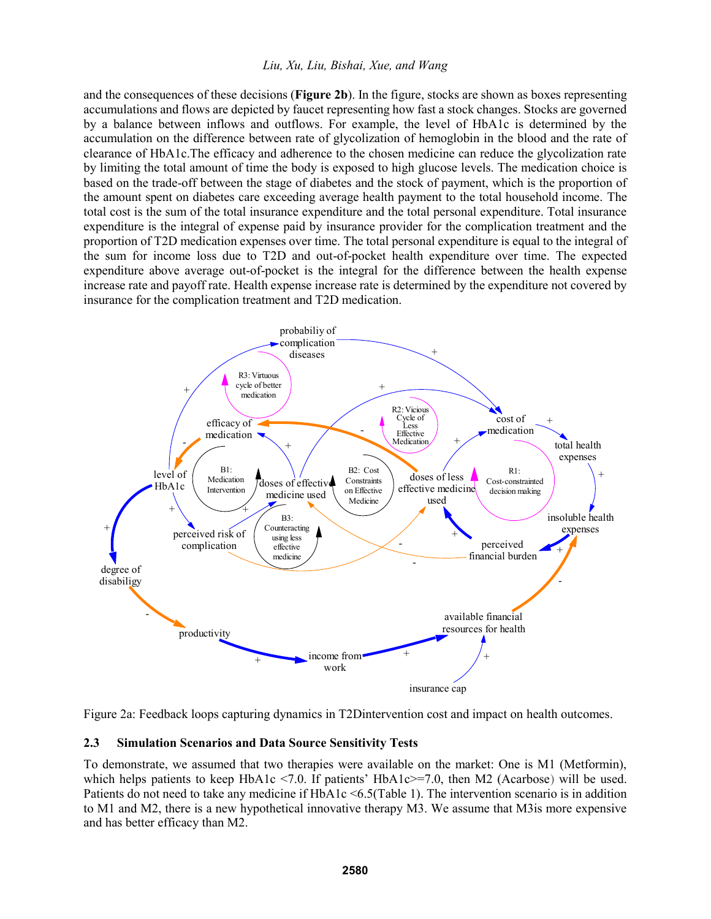#### *Liu, Xu, Liu, Bishai, Xue, and Wang*

and the consequences of these decisions (**Figure 2b**). In the figure, stocks are shown as boxes representing accumulations and flows are depicted by faucet representing how fast a stock changes. Stocks are governed by a balance between inflows and outflows. For example, the level of HbA1c is determined by the accumulation on the difference between rate of glycolization of hemoglobin in the blood and the rate of clearance of HbA1c.The efficacy and adherence to the chosen medicine can reduce the glycolization rate by limiting the total amount of time the body is exposed to high glucose levels. The medication choice is based on the trade-off between the stage of diabetes and the stock of payment, which is the proportion of the amount spent on diabetes care exceeding average health payment to the total household income. The total cost is the sum of the total insurance expenditure and the total personal expenditure. Total insurance expenditure is the integral of expense paid by insurance provider for the complication treatment and the proportion of T2D medication expenses over time. The total personal expenditure is equal to the integral of the sum for income loss due to T2D and out-of-pocket health expenditure over time. The expected expenditure above average out-of-pocket is the integral for the difference between the health expense increase rate and payoff rate. Health expense increase rate is determined by the expenditure not covered by insurance for the complication treatment and T2D medication.



Figure 2a: Feedback loops capturing dynamics in T2Dintervention cost and impact on health outcomes.

#### **2.3 Simulation Scenarios and Data Source Sensitivity Tests**

To demonstrate, we assumed that two therapies were available on the market: One is M1 (Metformin), which helps patients to keep HbA1c <7.0. If patients' HbA1c>=7.0, then M2 (Acarbose) will be used. Patients do not need to take any medicine if HbA1c <6.5(Table 1). The intervention scenario is in addition to M1 and M2, there is a new hypothetical innovative therapy M3. We assume that M3is more expensive and has better efficacy than M2.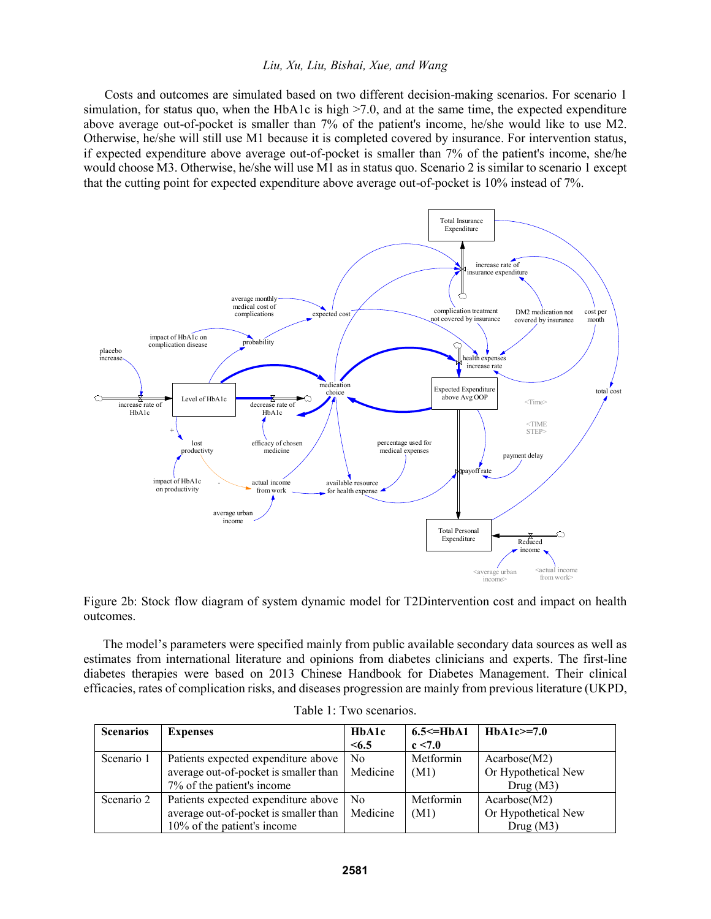#### *Liu, Xu, Liu, Bishai, Xue, and Wang*

Costs and outcomes are simulated based on two different decision-making scenarios. For scenario 1 simulation, for status quo, when the HbA1c is high  $>7.0$ , and at the same time, the expected expenditure above average out-of-pocket is smaller than 7% of the patient's income, he/she would like to use M2. Otherwise, he/she will still use M1 because it is completed covered by insurance. For intervention status, if expected expenditure above average out-of-pocket is smaller than 7% of the patient's income, she/he would choose M3. Otherwise, he/she will use M1 as in status quo. Scenario 2 is similar to scenario 1 except that the cutting point for expected expenditure above average out-of-pocket is 10% instead of 7%.



Figure 2b: Stock flow diagram of system dynamic model for T2Dintervention cost and impact on health outcomes.

The model's parameters were specified mainly from public available secondary data sources as well as estimates from international literature and opinions from diabetes clinicians and experts. The first-line diabetes therapies were based on 2013 Chinese Handbook for Diabetes Management. Their clinical efficacies, rates of complication risks, and diseases progression are mainly from previous literature (UKPD,

| <b>Scenarios</b> | <b>Expenses</b>                       | HbA1c    | $6.5 \leq HbA1$ | $HbA1c>=7.0$        |
|------------------|---------------------------------------|----------|-----------------|---------------------|
|                  |                                       | < 6.5    | c < 7.0         |                     |
| Scenario 1       | Patients expected expenditure above   | No.      | Metformin       | Acarbose(M2)        |
|                  | average out-of-pocket is smaller than | Medicine | (M1)            | Or Hypothetical New |
|                  | 7% of the patient's income            |          |                 | Drug(M3)            |
| Scenario 2       | Patients expected expenditure above   | No       | Metformin       | Acarbose(M2)        |
|                  | average out-of-pocket is smaller than | Medicine | (M1)            | Or Hypothetical New |
|                  | 10% of the patient's income           |          |                 | Drug(M3)            |

|  | Table 1: Two scenarios. |
|--|-------------------------|
|  |                         |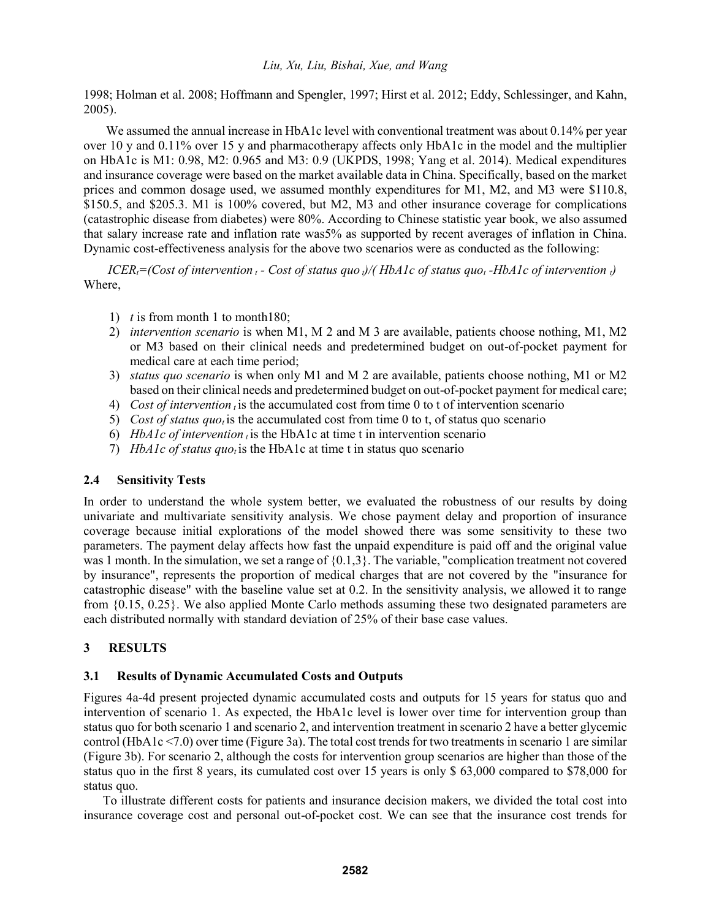1998; Holman et al. 2008; Hoffmann and Spengler, 1997; Hirst et al. 2012; Eddy, Schlessinger, and Kahn, 2005).

We assumed the annual increase in HbA1c level with conventional treatment was about 0.14% per year over 10 y and 0.11% over 15 y and pharmacotherapy affects only HbA1c in the model and the multiplier on HbA1c is M1: 0.98, M2: 0.965 and M3: 0.9 (UKPDS, 1998; Yang et al. 2014). Medical expenditures and insurance coverage were based on the market available data in China. Specifically, based on the market prices and common dosage used, we assumed monthly expenditures for M1, M2, and M3 were \$110.8, \$150.5, and \$205.3. M1 is 100% covered, but M2, M3 and other insurance coverage for complications (catastrophic disease from diabetes) were 80%. According to Chinese statistic year book, we also assumed that salary increase rate and inflation rate was5% as supported by recent averages of inflation in China. Dynamic cost-effectiveness analysis for the above two scenarios were as conducted as the following:

*ICER*<sub> $t$ </sub><sup> $=$ </sup>(Cost of intervention  $t$ <sup> $\sim$ </sup> *Cost of status quo i*)/(*HbA1c of status quo*<sub>*t*</sub> *-HbA1c of intervention i*) Where,

- 1) *t* is from month 1 to month180;
- 2) *intervention scenario* is when M1, M 2 and M 3 are available, patients choose nothing, M1, M2 or M3 based on their clinical needs and predetermined budget on out-of-pocket payment for medical care at each time period;
- 3) *status quo scenario* is when only M1 and M 2 are available, patients choose nothing, M1 or M2 based on their clinical needs and predetermined budget on out-of-pocket payment for medical care;
- 4) *Cost of intervention <sup>t</sup>*is the accumulated cost from time 0 to t of intervention scenario
- 5) *Cost of status quo<sup>t</sup>* is the accumulated cost from time 0 to t, of status quo scenario
- 6) *HbA1c of intervention*  $\iota$  is the HbA1c at time t in intervention scenario
- 7) *HbA1c of status quo<sup>t</sup>* is the HbA1c at time t in status quo scenario

## **2.4 Sensitivity Tests**

In order to understand the whole system better, we evaluated the robustness of our results by doing univariate and multivariate sensitivity analysis. We chose payment delay and proportion of insurance coverage because initial explorations of the model showed there was some sensitivity to these two parameters. The payment delay affects how fast the unpaid expenditure is paid off and the original value was 1 month. In the simulation, we set a range of  $\{0.1,3\}$ . The variable, "complication treatment not covered by insurance", represents the proportion of medical charges that are not covered by the "insurance for catastrophic disease" with the baseline value set at 0.2. In the sensitivity analysis, we allowed it to range from {0.15, 0.25}. We also applied Monte Carlo methods assuming these two designated parameters are each distributed normally with standard deviation of 25% of their base case values.

# **3 RESULTS**

## **3.1 Results of Dynamic Accumulated Costs and Outputs**

Figures 4a-4d present projected dynamic accumulated costs and outputs for 15 years for status quo and intervention of scenario 1. As expected, the HbA1c level is lower over time for intervention group than status quo for both scenario 1 and scenario 2, and intervention treatment in scenario 2 have a better glycemic control (HbA1c <7.0) over time (Figure 3a). The total cost trends for two treatments in scenario 1 are similar (Figure 3b). For scenario 2, although the costs for intervention group scenarios are higher than those of the status quo in the first 8 years, its cumulated cost over 15 years is only \$ 63,000 compared to \$78,000 for status quo.

 To illustrate different costs for patients and insurance decision makers, we divided the total cost into insurance coverage cost and personal out-of-pocket cost. We can see that the insurance cost trends for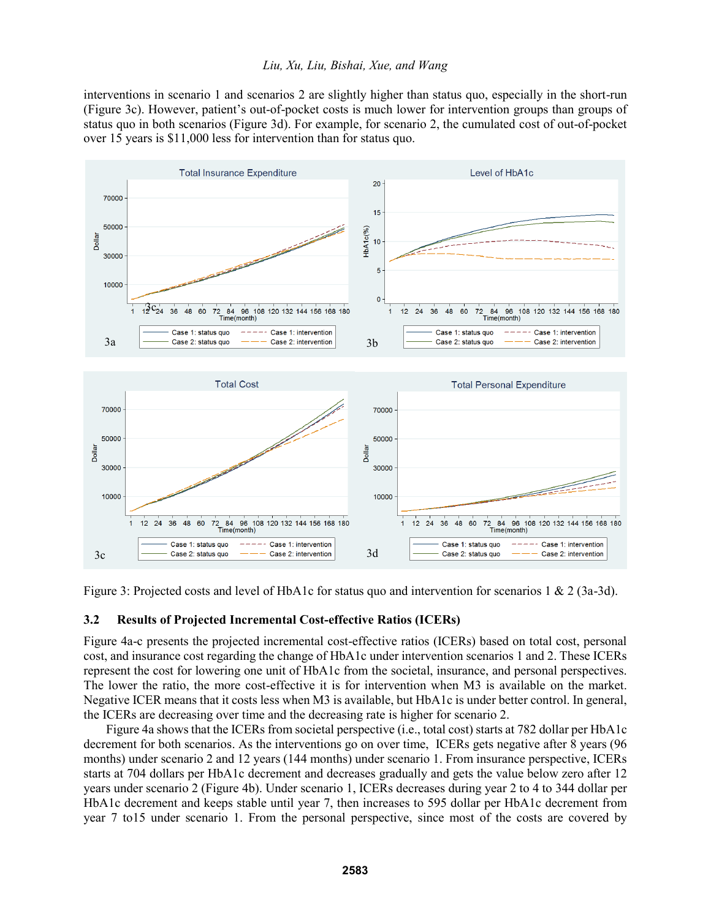interventions in scenario 1 and scenarios 2 are slightly higher than status quo, especially in the short-run (Figure 3c). However, patient's out-of-pocket costs is much lower for intervention groups than groups of status quo in both scenarios (Figure 3d). For example, for scenario 2, the cumulated cost of out-of-pocket over 15 years is \$11,000 less for intervention than for status quo.



Figure 3: Projected costs and level of HbA1c for status quo and intervention for scenarios 1 & 2 (3a-3d).

#### **3.2 Results of Projected Incremental Cost-effective Ratios (ICERs)**

Figure 4a-c presents the projected incremental cost-effective ratios (ICERs) based on total cost, personal cost, and insurance cost regarding the change of HbA1c under intervention scenarios 1 and 2. These ICERs represent the cost for lowering one unit of HbA1c from the societal, insurance, and personal perspectives. The lower the ratio, the more cost-effective it is for intervention when M3 is available on the market. Negative ICER means that it costs less when M3 is available, but HbA1c is under better control. In general, the ICERs are decreasing over time and the decreasing rate is higher for scenario 2.

 Figure 4a shows that the ICERs from societal perspective (i.e., total cost) starts at 782 dollar per HbA1c decrement for both scenarios. As the interventions go on over time, ICERs gets negative after 8 years (96 months) under scenario 2 and 12 years (144 months) under scenario 1. From insurance perspective, ICERs starts at 704 dollars per HbA1c decrement and decreases gradually and gets the value below zero after 12 years under scenario 2 (Figure 4b). Under scenario 1, ICERs decreases during year 2 to 4 to 344 dollar per HbA1c decrement and keeps stable until year 7, then increases to 595 dollar per HbA1c decrement from year 7 to15 under scenario 1. From the personal perspective, since most of the costs are covered by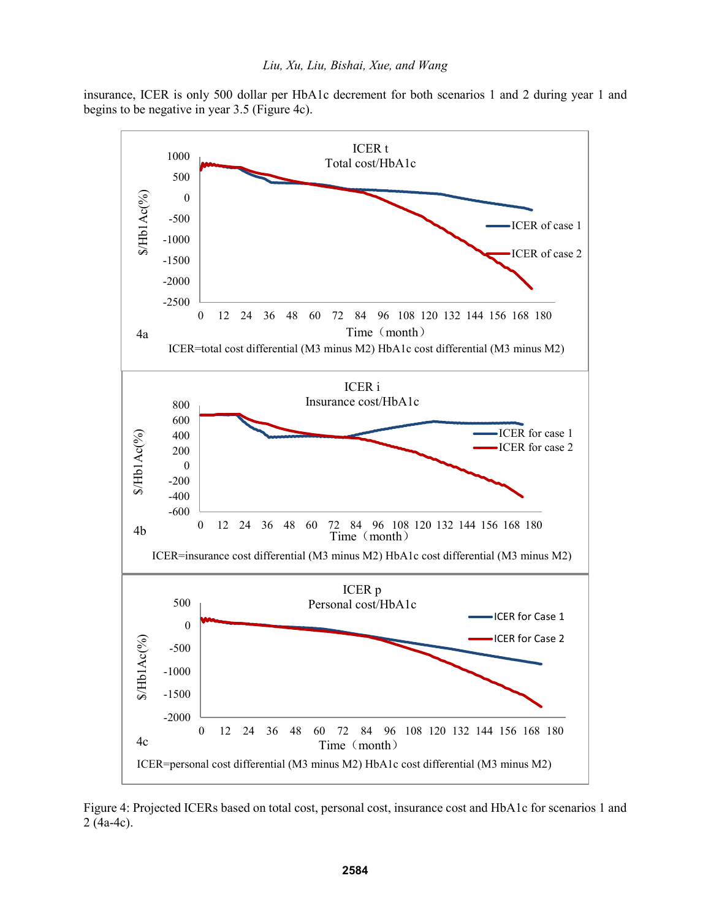insurance, ICER is only 500 dollar per HbA1c decrement for both scenarios 1 and 2 during year 1 and begins to be negative in year 3.5 (Figure 4c).



Figure 4: Projected ICERs based on total cost, personal cost, insurance cost and HbA1c for scenarios 1 and 2 (4a-4c).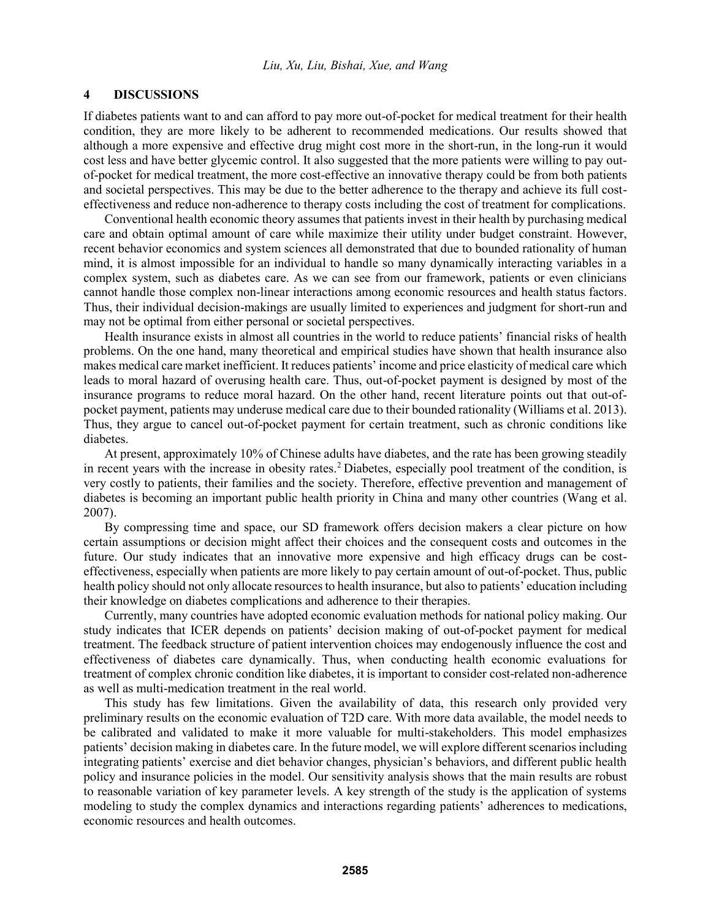### **4 DISCUSSIONS**

If diabetes patients want to and can afford to pay more out-of-pocket for medical treatment for their health condition, they are more likely to be adherent to recommended medications. Our results showed that although a more expensive and effective drug might cost more in the short-run, in the long-run it would cost less and have better glycemic control. It also suggested that the more patients were willing to pay outof-pocket for medical treatment, the more cost-effective an innovative therapy could be from both patients and societal perspectives. This may be due to the better adherence to the therapy and achieve its full costeffectiveness and reduce non-adherence to therapy costs including the cost of treatment for complications.

Conventional health economic theory assumes that patients invest in their health by purchasing medical care and obtain optimal amount of care while maximize their utility under budget constraint. However, recent behavior economics and system sciences all demonstrated that due to bounded rationality of human mind, it is almost impossible for an individual to handle so many dynamically interacting variables in a complex system, such as diabetes care. As we can see from our framework, patients or even clinicians cannot handle those complex non-linear interactions among economic resources and health status factors. Thus, their individual decision-makings are usually limited to experiences and judgment for short-run and may not be optimal from either personal or societal perspectives.

Health insurance exists in almost all countries in the world to reduce patients' financial risks of health problems. On the one hand, many theoretical and empirical studies have shown that health insurance also makes medical care market inefficient. It reduces patients' income and price elasticity of medical care which leads to moral hazard of overusing health care. Thus, out-of-pocket payment is designed by most of the insurance programs to reduce moral hazard. On the other hand, recent literature points out that out-ofpocket payment, patients may underuse medical care due to their bounded rationality (Williams et al. 2013). Thus, they argue to cancel out-of-pocket payment for certain treatment, such as chronic conditions like diabetes.

At present, approximately 10% of Chinese adults have diabetes, and the rate has been growing steadily in recent years with the increase in obesity rates.<sup>2</sup> Diabetes, especially pool treatment of the condition, is very costly to patients, their families and the society. Therefore, effective prevention and management of diabetes is becoming an important public health priority in China and many other countries (Wang et al. 2007).

By compressing time and space, our SD framework offers decision makers a clear picture on how certain assumptions or decision might affect their choices and the consequent costs and outcomes in the future. Our study indicates that an innovative more expensive and high efficacy drugs can be costeffectiveness, especially when patients are more likely to pay certain amount of out-of-pocket. Thus, public health policy should not only allocate resources to health insurance, but also to patients' education including their knowledge on diabetes complications and adherence to their therapies.

Currently, many countries have adopted economic evaluation methods for national policy making. Our study indicates that ICER depends on patients' decision making of out-of-pocket payment for medical treatment. The feedback structure of patient intervention choices may endogenously influence the cost and effectiveness of diabetes care dynamically. Thus, when conducting health economic evaluations for treatment of complex chronic condition like diabetes, it is important to consider cost-related non-adherence as well as multi-medication treatment in the real world.

This study has few limitations. Given the availability of data, this research only provided very preliminary results on the economic evaluation of T2D care. With more data available, the model needs to be calibrated and validated to make it more valuable for multi-stakeholders. This model emphasizes patients' decision making in diabetes care. In the future model, we will explore different scenarios including integrating patients' exercise and diet behavior changes, physician's behaviors, and different public health policy and insurance policies in the model. Our sensitivity analysis shows that the main results are robust to reasonable variation of key parameter levels. A key strength of the study is the application of systems modeling to study the complex dynamics and interactions regarding patients' adherences to medications, economic resources and health outcomes.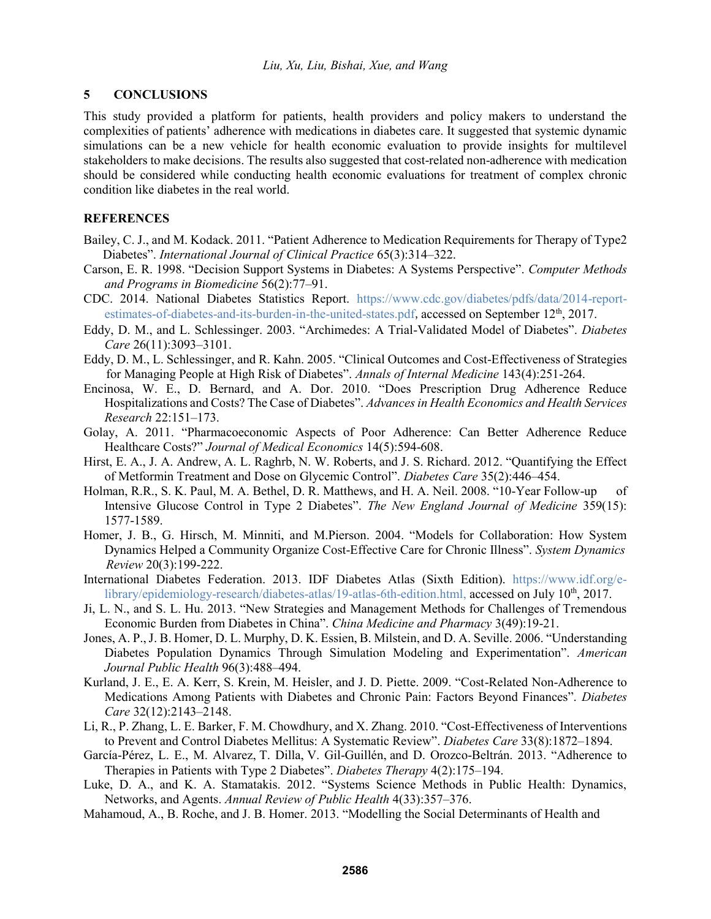### **5 CONCLUSIONS**

This study provided a platform for patients, health providers and policy makers to understand the complexities of patients' adherence with medications in diabetes care. It suggested that systemic dynamic simulations can be a new vehicle for health economic evaluation to provide insights for multilevel stakeholders to make decisions. The results also suggested that cost-related non-adherence with medication should be considered while conducting health economic evaluations for treatment of complex chronic condition like diabetes in the real world.

## **REFERENCES**

- Bailey, C. J., and M. Kodack. 2011. "Patient Adherence to Medication Requirements for Therapy of Type2 Diabetes". *International Journal of Clinical Practice* 65(3):314–322.
- Carson, E. R. 1998. "Decision Support Systems in Diabetes: A Systems Perspective". *Computer Methods and Programs in Biomedicine* 56(2):77–91.
- CDC. 2014. National Diabetes Statistics Report. https://www.cdc.gov/diabetes/pdfs/data/2014-reportestimates-of-diabetes-and-its-burden-in-the-united-states.pdf, accessed on September 12<sup>th</sup>, 2017.
- Eddy, D. M., and L. Schlessinger. 2003. "Archimedes: A Trial-Validated Model of Diabetes". *Diabetes Care* 26(11):3093–3101.
- Eddy, D. M., L. Schlessinger, and R. Kahn. 2005. "Clinical Outcomes and Cost-Effectiveness of Strategies for Managing People at High Risk of Diabetes". *Annals of Internal Medicine* 143(4):251-264.
- Encinosa, W. E., D. Bernard, and A. Dor. 2010. "Does Prescription Drug Adherence Reduce Hospitalizations and Costs? The Case of Diabetes". *Advances in Health Economics and Health Services Research* 22:151–173.
- Golay, A. 2011. "Pharmacoeconomic Aspects of Poor Adherence: Can Better Adherence Reduce Healthcare Costs?" *Journal of Medical Economics* 14(5):594-608.
- Hirst, E. A., J. A. Andrew, A. L. Raghrb, N. W. Roberts, and J. S. Richard. 2012. "Quantifying the Effect of Metformin Treatment and Dose on Glycemic Control". *Diabetes Care* 35(2):446–454.
- Holman, R.R., S. K. Paul, M. A. Bethel, D. R. Matthews, and H. A. Neil. 2008. "10-Year Follow-up of Intensive Glucose Control in Type 2 Diabetes". *The New England Journal of Medicine* 359(15): 1577-1589.
- Homer, J. B., G. Hirsch, M. Minniti, and M.Pierson. 2004. "Models for Collaboration: How System Dynamics Helped a Community Organize Cost-Effective Care for Chronic Illness". *System Dynamics Review* 20(3):199-222.
- International Diabetes Federation. 2013. IDF Diabetes Atlas (Sixth Edition). https://www.idf.org/elibrary/epidemiology-research/diabetes-atlas/19-atlas-6th-edition.html, accessed on July 10<sup>th</sup>, 2017.
- Ji, L. N., and S. L. Hu. 2013. "New Strategies and Management Methods for Challenges of Tremendous Economic Burden from Diabetes in China". *China Medicine and Pharmacy* 3(49):19-21.
- Jones, A. P., J. B. Homer, D. L. Murphy, D. K. Essien, B. Milstein, and D. A. Seville. 2006. "Understanding Diabetes Population Dynamics Through Simulation Modeling and Experimentation". *American Journal Public Health* 96(3):488–494.
- Kurland, J. E., E. A. Kerr, S. Krein, M. Heisler, and J. D. Piette. 2009. "Cost-Related Non-Adherence to Medications Among Patients with Diabetes and Chronic Pain: Factors Beyond Finances". *Diabetes Care* 32(12):2143–2148.
- Li, R., P. Zhang, L. E. Barker, F. M. Chowdhury, and X. Zhang. 2010. "Cost-Effectiveness of Interventions to Prevent and Control Diabetes Mellitus: A Systematic Review". *Diabetes Care* 33(8):1872–1894.
- García-Pérez, L. E., M. Alvarez, T. Dilla, V. Gil-Guillén, and D. Orozco-Beltrán. 2013. "Adherence to Therapies in Patients with Type 2 Diabetes". *Diabetes Therapy* 4(2):175–194.
- Luke, D. A., and K. A. Stamatakis. 2012. "Systems Science Methods in Public Health: Dynamics, Networks, and Agents. *Annual Review of Public Health* 4(33):357–376.
- Mahamoud, A., B. Roche, and J. B. Homer. 2013. "Modelling the Social Determinants of Health and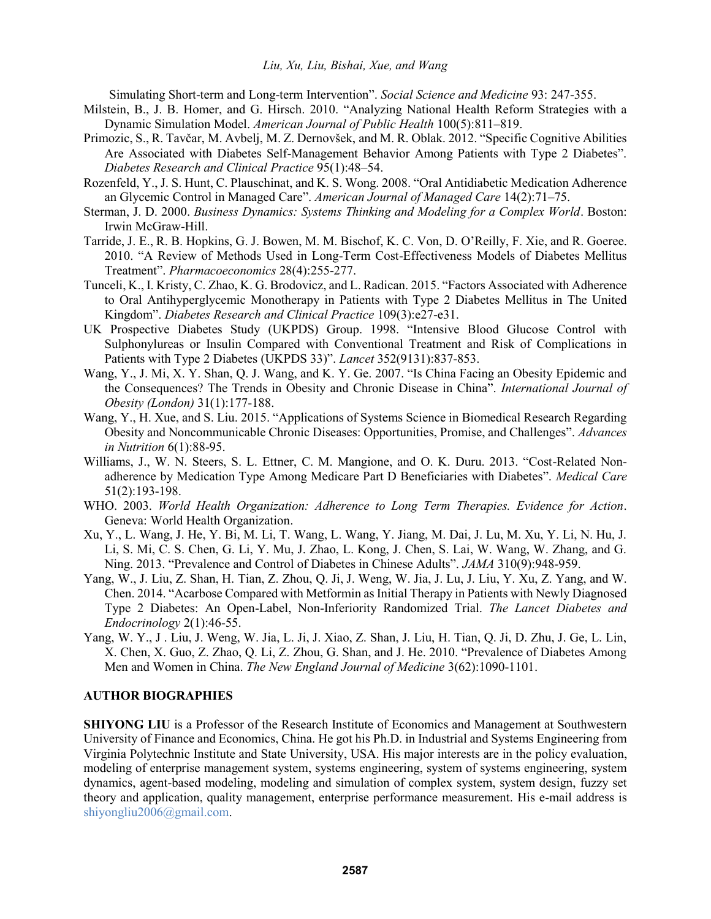Simulating Short-term and Long-term Intervention". *Social Science and Medicine* 93: 247-355.

- Milstein, B., J. B. Homer, and G. Hirsch. 2010. "Analyzing National Health Reform Strategies with a Dynamic Simulation Model. *American Journal of Public Health* 100(5):811–819.
- Primozic, S., R. Tavčar, M. Avbelj, M. Z. Dernovšek, and M. R. Oblak. 2012. "Specific Cognitive Abilities Are Associated with Diabetes Self-Management Behavior Among Patients with Type 2 Diabetes". *Diabetes Research and Clinical Practice* 95(1):48–54.
- Rozenfeld, Y., J. S. Hunt, C. Plauschinat, and K. S. Wong. 2008. "Oral Antidiabetic Medication Adherence an Glycemic Control in Managed Care". *American Journal of Managed Care* 14(2):71–75.
- Sterman, J. D. 2000. *Business Dynamics: Systems Thinking and Modeling for a Complex World*. Boston: Irwin McGraw-Hill.
- Tarride, J. E., R. B. Hopkins, G. J. Bowen, M. M. Bischof, K. C. Von, D. O'Reilly, F. Xie, and R. Goeree. 2010. "A Review of Methods Used in Long-Term Cost-Effectiveness Models of Diabetes Mellitus Treatment". *Pharmacoeconomics* 28(4):255-277.
- Tunceli, K., I. Kristy, C. Zhao, K. G. Brodovicz, and L. Radican. 2015. "Factors Associated with Adherence to Oral Antihyperglycemic Monotherapy in Patients with Type 2 Diabetes Mellitus in The United Kingdom". *Diabetes Research and Clinical Practice* 109(3):e27-e31.
- UK Prospective Diabetes Study (UKPDS) Group. 1998. "Intensive Blood Glucose Control with Sulphonylureas or Insulin Compared with Conventional Treatment and Risk of Complications in Patients with Type 2 Diabetes (UKPDS 33)". *Lancet* 352(9131):837-853.
- Wang, Y., J. Mi, X. Y. Shan, Q. J. Wang, and K. Y. Ge. 2007. "Is China Facing an Obesity Epidemic and the Consequences? The Trends in Obesity and Chronic Disease in China". *International Journal of Obesity (London)* 31(1):177-188.
- Wang, Y., H. Xue, and S. Liu. 2015. "Applications of Systems Science in Biomedical Research Regarding Obesity and Noncommunicable Chronic Diseases: Opportunities, Promise, and Challenges". *Advances in Nutrition* 6(1):88-95.
- Williams, J., W. N. Steers, S. L. Ettner, C. M. Mangione, and O. K. Duru. 2013. "Cost-Related Nonadherence by Medication Type Among Medicare Part D Beneficiaries with Diabetes". *Medical Care* 51(2):193-198.
- WHO. 2003. *World Health Organization: Adherence to Long Term Therapies. Evidence for Action*. Geneva: World Health Organization.
- Xu, Y., L. Wang, J. He, Y. Bi, M. Li, T. Wang, L. Wang, Y. Jiang, M. Dai, J. Lu, M. Xu, Y. Li, N. Hu, J. Li, S. Mi, C. S. Chen, G. Li, Y. Mu, J. Zhao, L. Kong, J. Chen, S. Lai, W. Wang, W. Zhang, and G. Ning. 2013. "Prevalence and Control of Diabetes in Chinese Adults". *JAMA* 310(9):948-959.
- Yang, W., J. Liu, Z. Shan, H. Tian, Z. Zhou, Q. Ji, J. Weng, W. Jia, J. Lu, J. Liu, Y. Xu, Z. Yang, and W. Chen. 2014. "Acarbose Compared with Metformin as Initial Therapy in Patients with Newly Diagnosed Type 2 Diabetes: An Open-Label, Non-Inferiority Randomized Trial. *The Lancet Diabetes and Endocrinology* 2(1):46-55.
- Yang, W. Y., J . Liu, J. Weng, W. Jia, L. Ji, J. Xiao, Z. Shan, J. Liu, H. Tian, Q. Ji, D. Zhu, J. Ge, L. Lin, X. Chen, X. Guo, Z. Zhao, Q. Li, Z. Zhou, G. Shan, and J. He. 2010. "Prevalence of Diabetes Among Men and Women in China. *The New England Journal of Medicine* 3(62):1090-1101.

#### **AUTHOR BIOGRAPHIES**

**SHIYONG LIU** is a Professor of the Research Institute of Economics and Management at Southwestern University of Finance and Economics, China. He got his Ph.D. in Industrial and Systems Engineering from Virginia Polytechnic Institute and State University, USA. His major interests are in the policy evaluation, modeling of enterprise management system, systems engineering, system of systems engineering, system dynamics, agent-based modeling, modeling and simulation of complex system, system design, fuzzy set theory and application, quality management, enterprise performance measurement. His e-mail address is shiyongliu2006@gmail.com.